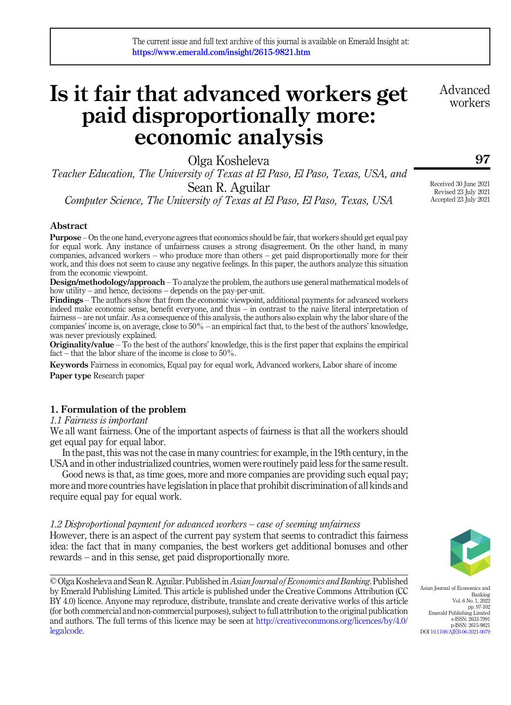# Is it fair that advanced workers get paid disproportionally more: economic analysis

Olga Kosheleva

Teacher Education, The University of Texas at El Paso, El Paso, Texas, USA, and Sean R. Aguilar Computer Science, The University of Texas at El Paso, El Paso, Texas, USA

# Abstract

Purpose – On the one hand, everyone agrees that economics should be fair, that workers should get equal pay for equal work. Any instance of unfairness causes a strong disagreement. On the other hand, in many companies, advanced workers – who produce more than others – get paid disproportionally more for their work, and this does not seem to cause any negative feelings. In this paper, the authors analyze this situation from the economic viewpoint.

Design/methodology/approach – To analyze the problem, the authors use general mathematical models of how utility – and hence, decisions – depends on the pay-per-unit.

Findings – The authors show that from the economic viewpoint, additional payments for advanced workers indeed make economic sense, benefit everyone, and thus – in contrast to the naive literal interpretation of fairness – are not unfair. As a consequence of this analysis, the authors also explain why the labor share of the companies' income is, on average, close to 50% – an empirical fact that, to the best of the authors' knowledge, was never previously explained.

Originality/value – To the best of the authors' knowledge, this is the first paper that explains the empirical fact – that the labor share of the income is close to 50%.

Keywords Fairness in economics, Equal pay for equal work, Advanced workers, Labor share of income Paper type Research paper

# 1. Formulation of the problem

1.1 Fairness is important

We all want fairness. One of the important aspects of fairness is that all the workers should get equal pay for equal labor.

In the past, this was not the case in many countries: for example, in the 19th century, in the USA and in other industrialized countries, women were routinely paid less for the same result.

Good news is that, as time goes, more and more companies are providing such equal pay; more and more countries have legislation in place that prohibit discrimination of all kinds and require equal pay for equal work.

#### 1.2 Disproportional payment for advanced workers – case of seeming unfairness

However, there is an aspect of the current pay system that seems to contradict this fairness idea: the fact that in many companies, the best workers get additional bonuses and other rewards – and in this sense, get paid disproportionally more.

© Olga Kosheleva and Sean R. Aguilar. Published in Asian Journal of Economics and Banking. Published by Emerald Publishing Limited. This article is published under the Creative Commons Attribution (CC BY 4.0) licence. Anyone may reproduce, distribute, translate and create derivative works of this article (for both commercial and non-commercial purposes), subject to full attribution to the original publication and authors. The full terms of this licence may be seen at [http://creativecommons.org/licences/by/4.0/](http://creativecommons.org/licences/by/4.0/legalcode) [legalcode.](http://creativecommons.org/licences/by/4.0/legalcode)

Asian Journal of Economics and Banking Vol. 6 No. 1, 2022 pp. 97-102 Emerald Publishing Limited e-ISSN: 2633-7991 p-ISSN: 2615-9821 DOI [10.1108/AJEB-06-2021-0079](https://doi.org/10.1108/AJEB-06-2021-0079)

Received 30 June 2021 Revised 23 July 2021 Accepted 23 July 2021

97

Advanced workers

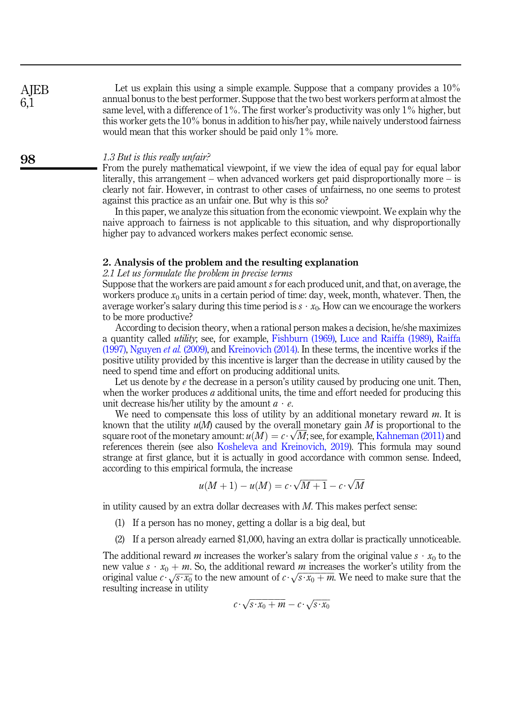Let us explain this using a simple example. Suppose that a company provides a  $10\%$ annual bonus to the best performer. Suppose that the two best workers perform at almost the same level, with a difference of  $1\%$ . The first worker's productivity was only  $1\%$  higher, but this worker gets the 10% bonus in addition to his/her pay, while naively understood fairness would mean that this worker should be paid only 1% more.

#### 1.3 But is this really unfair?

From the purely mathematical viewpoint, if we view the idea of equal pay for equal labor literally, this arrangement – when advanced workers get paid disproportionally more – is clearly not fair. However, in contrast to other cases of unfairness, no one seems to protest against this practice as an unfair one. But why is this so?

In this paper, we analyze this situation from the economic viewpoint. We explain why the naive approach to fairness is not applicable to this situation, and why disproportionally higher pay to advanced workers makes perfect economic sense.

#### 2. Analysis of the problem and the resulting explanation

#### 2.1 Let us formulate the problem in precise terms

Suppose that the workers are paid amount s for each produced unit, and that, on average, the workers produce  $x_0$  units in a certain period of time: day, week, month, whatever. Then, the average worker's salary during this time period is  $s \cdot x_0$ . How can we encourage the workers to be more productive?

According to decision theory, when a rational person makes a decision, he/she maximizes a quantity called utility; see, for example, [Fishburn \(1969\)](#page-5-0), [Luce and Raiffa \(1989\),](#page-5-1) [Raiffa](#page-5-2) [\(1997\),](#page-5-2) [Nguyen](#page-5-3) et al. (2009), and [Kreinovich \(2014\)](#page-5-4). In these terms, the incentive works if the positive utility provided by this incentive is larger than the decrease in utility caused by the need to spend time and effort on producing additional units.

Let us denote by  $e$  the decrease in a person's utility caused by producing one unit. Then, when the worker produces  $a$  additional units, the time and effort needed for producing this unit decrease his/her utility by the amount  $a \cdot e$ .

We need to compensate this loss of utility by an additional monetary reward  $m$ . It is known that the utility  $u(M)$  caused by the overall monetary gain M is proportional to the square root of the monetary amount:  $u(M) = c \cdot \sqrt{M}$ ; see, for example, [Kahneman \(2011\)](#page-5-5) and references therein (see also [Kosheleva and Kreinovich, 2019](#page-5-6)). This formula may sound strange at first glance, but it is actually in good accordance with common sense. Indeed, according to this empirical formula, the increase

$$
u(M + 1) - u(M) = c \cdot \sqrt{M + 1} - c \cdot \sqrt{M}
$$

in utility caused by an extra dollar decreases with  $M$ . This makes perfect sense:

- (1) If a person has no money, getting a dollar is a big deal, but
- (2) If a person already earned \$1,000, having an extra dollar is practically unnoticeable.

The additional reward m increases the worker's salary from the original value  $s \cdot x_0$  to the new value  $s \cdot x_0 + m$ . So, the additional reward m increases the worker's utility from the original value  $c \cdot \sqrt{s \cdot x_0}$  to the new amount of  $c \cdot \sqrt{s \cdot x_0 + m}$ . We need to make sure that the resulting increase in utility

$$
c \cdot \sqrt{s \cdot x_0 + m} - c \cdot \sqrt{s \cdot x_0}
$$

**AIEB** 6,1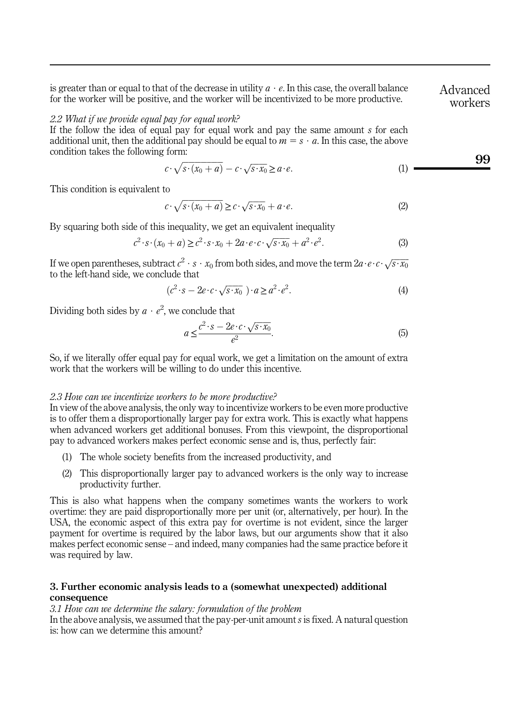is greater than or equal to that of the decrease in utility  $a \cdot e$ . In this case, the overall balance for the worker will be positive, and the worker will be incentivized to be more productive.

### 2.2 What if we provide equal pay for equal work?

If the follow the idea of equal pay for equal work and pay the same amount s for each additional unit, then the additional pay should be equal to  $m = s \cdot a$ . In this case, the above condition takes the following form:

$$
c \cdot \sqrt{s \cdot (x_0 + a)} - c \cdot \sqrt{s \cdot x_0} \ge a \cdot e. \tag{1}
$$

This condition is equivalent to

$$
c \cdot \sqrt{s \cdot (x_0 + a)} \ge c \cdot \sqrt{s \cdot x_0} + a \cdot e. \tag{2}
$$

By squaring both side of this inequality, we get an equivalent inequality

$$
c^2 \cdot s \cdot (x_0 + a) \ge c^2 \cdot s \cdot x_0 + 2a \cdot e \cdot c \cdot \sqrt{s \cdot x_0} + a^2 \cdot e^2. \tag{3}
$$

<span id="page-2-0"></span>If we open parentheses, subtract  $c^2\cdot s\cdot x_0$  from both sides, and move the term  $2a\cdot e\cdot c\cdot \sqrt{s\cdot x_0}$ to the left-hand side, we conclude that

$$
(c2 \cdot s - 2e \cdot c \cdot \sqrt{s \cdot x_0}) \cdot a \ge a2 \cdot e2.
$$
 (4)

Dividing both sides by  $a \cdot e^2$ , we conclude that

$$
a \le \frac{c^2 \cdot s - 2e \cdot c \cdot \sqrt{s \cdot x_0}}{e^2}.
$$
\n<sup>(5)</sup>

So, if we literally offer equal pay for equal work, we get a limitation on the amount of extra work that the workers will be willing to do under this incentive.

#### 2.3 How can we incentivize workers to be more productive?

In view of the above analysis, the only way to incentivize workers to be even more productive is to offer them a disproportionally larger pay for extra work. This is exactly what happens when advanced workers get additional bonuses. From this viewpoint, the disproportional pay to advanced workers makes perfect economic sense and is, thus, perfectly fair:

- (1) The whole society benefits from the increased productivity, and
- (2) This disproportionally larger pay to advanced workers is the only way to increase productivity further.

This is also what happens when the company sometimes wants the workers to work overtime: they are paid disproportionally more per unit (or, alternatively, per hour). In the USA, the economic aspect of this extra pay for overtime is not evident, since the larger payment for overtime is required by the labor laws, but our arguments show that it also makes perfect economic sense – and indeed, many companies had the same practice before it was required by law.

# 3. Further economic analysis leads to a (somewhat unexpected) additional consequence

3.1 How can we determine the salary: formulation of the problem

In the above analysis, we assumed that the pay-per-unit amount s is fixed. A natural question is: how can we determine this amount?

Advanced workers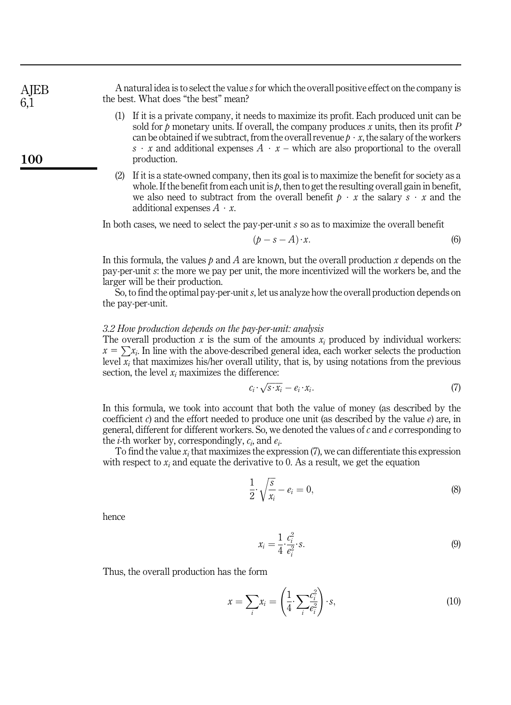A natural idea is to select the value sfor which the overall positive effect on the company is the best. What does "the best" mean?

- (1) If it is a private company, it needs to maximize its profit. Each produced unit can be sold for p monetary units. If overall, the company produces x units, then its profit  $P$ can be obtained if we subtract, from the overall revenue  $p \cdot x$ , the salary of the workers s  $\cdot$  x and additional expenses  $A \cdot x$  – which are also proportional to the overall production.
- (2) If it is a state-owned company, then its goal is to maximize the benefit for society as a whole. If the benefit from each unit is  $p$ , then to get the resulting overall gain in benefit, we also need to subtract from the overall benefit  $p \cdot x$  the salary  $s \cdot x$  and the additional expenses  $A \cdot x$ .

In both cases, we need to select the pay-per-unit s so as to maximize the overall benefit

$$
(p - s - A) \cdot x. \tag{6}
$$

In this formula, the values  $p$  and A are known, but the overall production x depends on the pay-per-unit s: the more we pay per unit, the more incentivized will the workers be, and the larger will be their production.

So, to find the optimal pay-per-unit s, let us analyze how the overall production depends on the pay-per-unit.

#### 3.2 How production depends on the pay-per-unit: analysis

The overall production  $x$  is the sum of the amounts  $x_i$  produced by individual workers:  $x = \sum x_i$ . In line with the above-described general idea, each worker selects the production level  $\overline{x_i}$  that maximizes his/her overall utility, that is, by using notations from the previous section, the level  $x_i$  maximizes the difference:

$$
c_i \cdot \sqrt{s \cdot x_i} - e_i \cdot x_i. \tag{7}
$$

In this formula, we took into account that both the value of money (as described by the coefficient c) and the effort needed to produce one unit (as described by the value  $e$ ) are, in general, different for different workers. So, we denoted the values of  $c$  and  $e$  corresponding to the *i*-th worker by, correspondingly,  $c_i$ , and  $e_i$ .

To find the value  $x_i$  that maximizes the expression (7), we can differentiate this expression with respect to  $x_i$  and equate the derivative to 0. As a result, we get the equation

$$
\frac{1}{2} \cdot \sqrt{\frac{s}{x_i}} - e_i = 0,\tag{8}
$$

hence

$$
x_i = \frac{1}{4} \cdot \frac{c_i^2}{e_i^2} \cdot s. \tag{9}
$$

Thus, the overall production has the form

$$
x = \sum_{i} x_i = \left(\frac{1}{4} \cdot \sum_{i} \frac{c_i^2}{e_i^2}\right) \cdot s,\tag{10}
$$

100

**AIEB** 6,1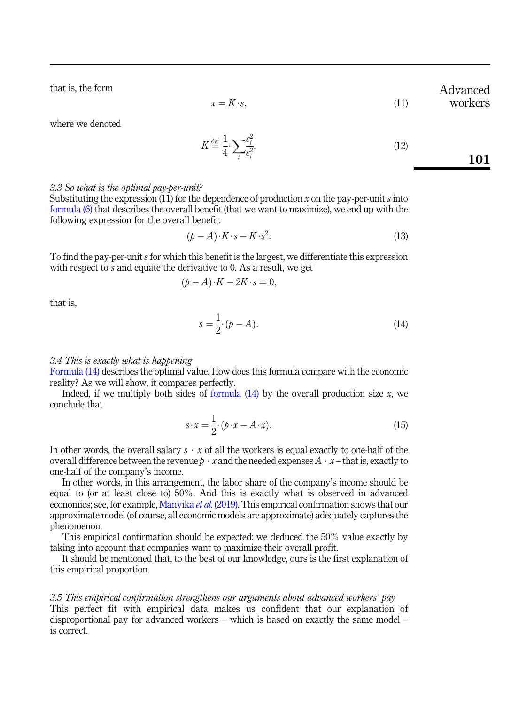that is, the form

 $x = K \cdot s.$  (11) workers

Advanced

<span id="page-4-0"></span>where we denoted

$$
K \stackrel{\text{def}}{=} \frac{1}{4} \sum_{i} \frac{c_i^2}{e_i^2}.
$$
 (12)

# 3.3 So what is the optimal pay-per-unit?

Substituting the expression (11) for the dependence of production x on the pay-per-unit s into [formula \(6\)](#page-2-0) that describes the overall benefit (that we want to maximize), we end up with the following expression for the overall benefit:

$$
(p - A) \cdot K \cdot s - K \cdot s^2. \tag{13}
$$

To find the pay-per-unit s for which this benefit is the largest, we differentiate this expression with respect to s and equate the derivative to 0. As a result, we get

$$
(p - A) \cdot K - 2K \cdot s = 0,
$$

that is,

$$
s = \frac{1}{2} \cdot (p - A). \tag{14}
$$

#### 3.4 This is exactly what is happening

[Formula \(14\)](#page-4-0) describes the optimal value. How does this formula compare with the economic reality? As we will show, it compares perfectly.

Indeed, if we multiply both sides of formula  $(14)$  by the overall production size x, we conclude that

$$
s \cdot x = \frac{1}{2} \cdot (p \cdot x - A \cdot x). \tag{15}
$$

In other words, the overall salary  $s \cdot x$  of all the workers is equal exactly to one-half of the overall difference between the revenue  $p \cdot x$  and the needed expenses  $A \cdot x$  – that is, exactly to one-half of the company's income.

In other words, in this arrangement, the labor share of the company's income should be equal to (or at least close to) 50%. And this is exactly what is observed in advanced economics; see, for example, [Manyika](#page-5-7) *et al.* (2019). This empirical confirmation shows that our approximate model (of course, all economic models are approximate) adequately captures the phenomenon.

This empirical confirmation should be expected: we deduced the 50% value exactly by taking into account that companies want to maximize their overall profit.

It should be mentioned that, to the best of our knowledge, ours is the first explanation of this empirical proportion.

# 3.5 This empirical confirmation strengthens our arguments about advanced workers' pay

This perfect fit with empirical data makes us confident that our explanation of disproportional pay for advanced workers – which is based on exactly the same model – is correct.